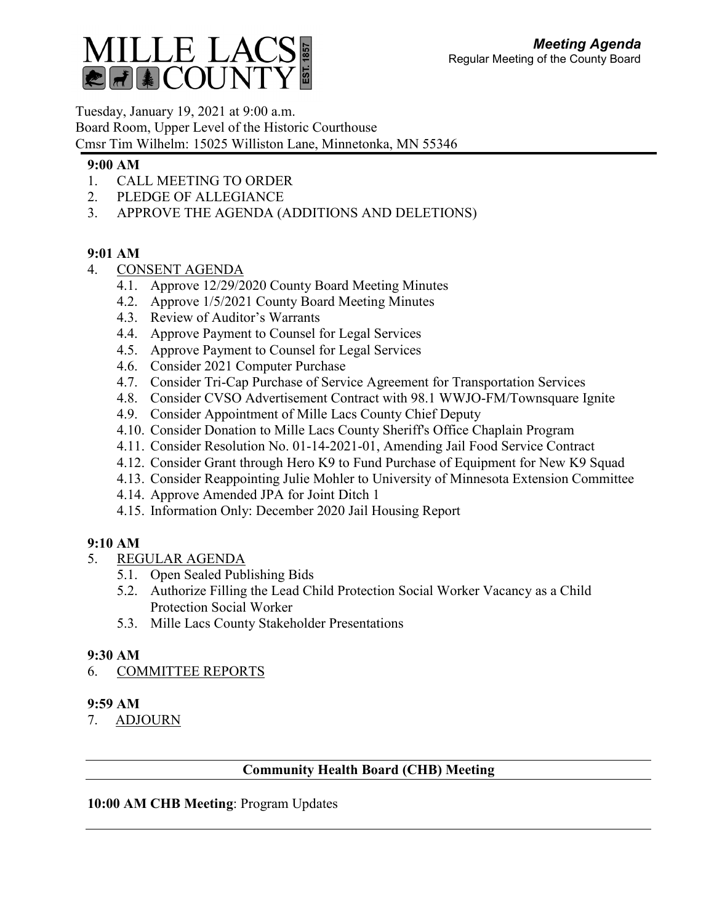

Tuesday, January 19, 2021 at 9:00 a.m. Board Room, Upper Level of the Historic Courthouse Cmsr Tim Wilhelm: 15025 Williston Lane, Minnetonka, MN 55346

### **9:00 AM**

- 1. CALL MEETING TO ORDER
- 2. PLEDGE OF ALLEGIANCE
- 3. APPROVE THE AGENDA (ADDITIONS AND DELETIONS)

## **9:01 AM**

- 4. CONSENT AGENDA
	- 4.1. Approve 12/29/2020 County Board Meeting Minutes
	- 4.2. Approve 1/5/2021 County Board Meeting Minutes
	- 4.3. Review of Auditor's Warrants
	- 4.4. Approve Payment to Counsel for Legal Services
	- 4.5. Approve Payment to Counsel for Legal Services
	- 4.6. Consider 2021 Computer Purchase
	- 4.7. Consider Tri-Cap Purchase of Service Agreement for Transportation Services
	- 4.8. Consider CVSO Advertisement Contract with 98.1 WWJO-FM/Townsquare Ignite
	- 4.9. Consider Appointment of Mille Lacs County Chief Deputy
	- 4.10. Consider Donation to Mille Lacs County Sheriff's Office Chaplain Program
	- 4.11. Consider Resolution No. 01-14-2021-01, Amending Jail Food Service Contract
	- 4.12. Consider Grant through Hero K9 to Fund Purchase of Equipment for New K9 Squad
	- 4.13. Consider Reappointing Julie Mohler to University of Minnesota Extension Committee
	- 4.14. Approve Amended JPA for Joint Ditch 1
	- 4.15. Information Only: December 2020 Jail Housing Report

## **9:10 AM**

- 5. REGULAR AGENDA
	- 5.1. Open Sealed Publishing Bids
	- 5.2. Authorize Filling the Lead Child Protection Social Worker Vacancy as a Child Protection Social Worker
	- 5.3. Mille Lacs County Stakeholder Presentations

# **9:30 AM**

6. COMMITTEE REPORTS

## **9:59 AM**

7. ADJOURN

# **Community Health Board (CHB) Meeting**

## **10:00 AM CHB Meeting**: Program Updates